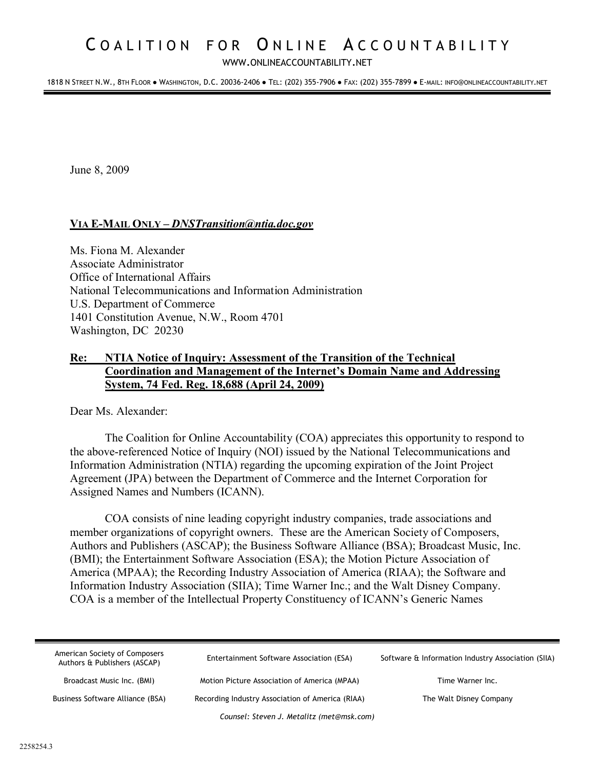# COALITION FOR ONLINE ACCOUNTABILITY

WWW.[ONLINEACCOUNTABILITY](WWW.ONLINEACCOUNTABILITY.NET).NET

1818 N STREET N.W., 8TH FLOOR ● WASHINGTON, D.C. 20036-2406 ● TEL: (202) 355-7906 ● FAX: (202) 355-7899 ● E-MAIL: INFO@ONLINEACCOUNTABILITY.NET

June 8, 2009

## **VIA E-MAIL ONLY –** *DNSTransition@ntia.doc.gov*

Ms. Fiona M. Alexander Associate Administrator Office of International Affairs National Telecommunications and Information Administration U.S. Department of Commerce 1401 Constitution Avenue, N.W., Room 4701 Washington, DC 20230

# **Re: NTIA Notice of Inquiry: Assessment of the Transition of the Technical Coordination and Management of the Internet's Domain Name and Addressing System, 74 Fed. Reg. 18,688 (April 24, 2009)**

Dear Ms. Alexander:

The Coalition for Online Accountability (COA) appreciates this opportunity to respond to the above-referenced Notice of Inquiry (NOI) issued by the National Telecommunications and Information Administration (NTIA) regarding the upcoming expiration of the Joint Project Agreement (JPA) between the Department of Commerce and the Internet Corporation for Assigned Names and Numbers (ICANN).

COA consists of nine leading copyright industry companies, trade associations and member organizations of copyright owners. These are the American Society of Composers, Authors and Publishers (ASCAP); the Business Software Alliance (BSA); Broadcast Music, Inc. (BMI); the Entertainment Software Association (ESA); the Motion Picture Association of America (MPAA); the Recording Industry Association of America (RIAA); the Software and Information Industry Association (SIIA); Time Warner Inc.; and the Walt Disney Company. COA is a member of the Intellectual Property Constituency of ICANN's Generic Names

| American Society of Composers<br>Authors & Publishers (ASCAP) | Entertainment Software Association (ESA)         | Software & Information Industry Association (SIIA) |  |
|---------------------------------------------------------------|--------------------------------------------------|----------------------------------------------------|--|
| Broadcast Music Inc. (BMI)                                    | Motion Picture Association of America (MPAA)     | Time Warner Inc.                                   |  |
| Business Software Alliance (BSA)                              | Recording Industry Association of America (RIAA) | The Walt Disney Company                            |  |
| Counsel: Steven J. Metalitz (met@msk.com)                     |                                                  |                                                    |  |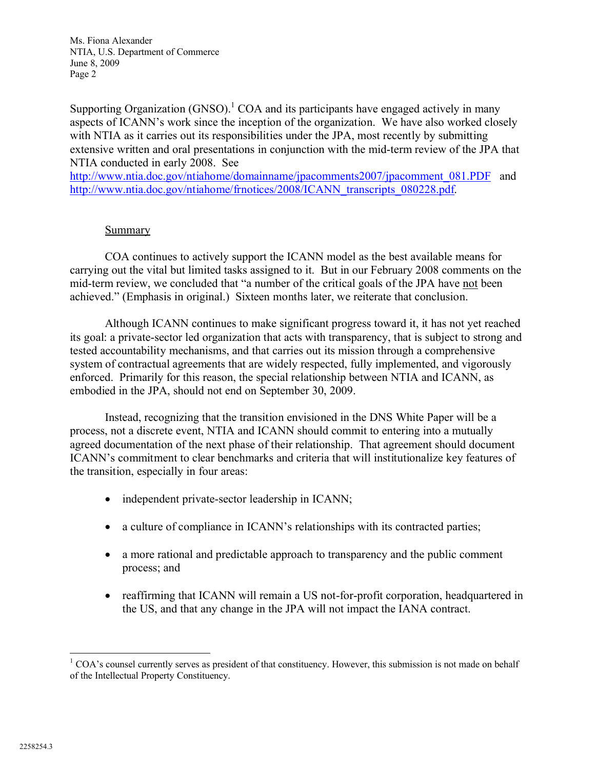Supporting Organization  $(GNSO)^1$  COA and its participants have engaged actively in many aspects of ICANN's work since the inception of the organization. We have also worked closely with NTIA as it carries out its responsibilities under the JPA, most recently by submitting extensive written and oral presentations in conjunction with the mid-term review of the JPA that NTIA conducted in early 2008. See

[http://w](http://www.ntia.doc.gov/ntiahome/domainname/jpacomments2007/jpacomment_081.PDF)[ww.ntia.doc.gov/ntiahome/domainname/jpacomments2007/jpacomment\\_081.PDF](www.ntia.doc.gov/ntiahome/domainname/jpacomments2007/jpacomment_081.PDF) and [http://w](http://www.ntia.doc.gov/ntiahome/frnotices/2008/ICANN_transcripts_080228.pdf)[ww.ntia.doc.gov/ntiahome/frnotices/2008/ICANN\\_transcripts\\_080228.pdf.](www.ntia.doc.gov/ntiahome/frnotices/2008/ICANN_transcripts_080228.pdf)

# Summary

COA continues to actively support the ICANN model as the best available means for carrying out the vital but limited tasks assigned to it. But in our February 2008 comments on the mid-term review, we concluded that "a number of the critical goals of the JPA have not been achieved." (Emphasis in original.) Sixteen months later, we reiterate that conclusion.

Although ICANN continues to make significant progress toward it, it has not yet reached its goal: a private-sector led organization that acts with transparency, that is subject to strong and tested accountability mechanisms, and that carries out its mission through a comprehensive system of contractual agreements that are widely respected, fully implemented, and vigorously enforced. Primarily for this reason, the special relationship between NTIA and ICANN, as embodied in the JPA, should not end on September 30, 2009.

Instead, recognizing that the transition envisioned in the DNS White Paper will be a process, not a discrete event, NTIA and ICANN should commit to entering into a mutually agreed documentation of the next phase of their relationship. That agreement should document ICANN's commitment to clear benchmarks and criteria that will institutionalize key features of the transition, especially in four areas:

- independent private-sector leadership in ICANN;
- a culture of compliance in ICANN's relationships with its contracted parties;
- · a more rational and predictable approach to transparency and the public comment process; and
- reaffirming that ICANN will remain a US not-for-profit corporation, headquartered in the US, and that any change in the JPA will not impact the IANA contract.

<sup>&</sup>lt;sup>1</sup> COA's counsel currently serves as president of that constituency. However, this submission is not made on behalf of the Intellectual Property Constituency.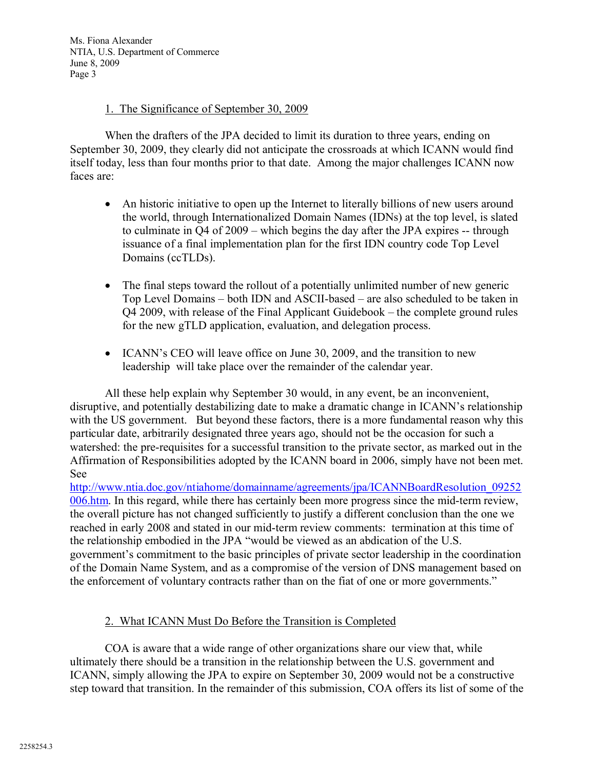# 1. The Significance of September 30, 2009

When the drafters of the JPA decided to limit its duration to three years, ending on September 30, 2009, they clearly did not anticipate the crossroads at which ICANN would find itself today, less than four months prior to that date. Among the major challenges ICANN now faces are:

- An historic initiative to open up the Internet to literally billions of new users around the world, through Internationalized Domain Names (IDNs) at the top level, is slated to culminate in Q4 of 2009 – which begins the day after the JPA expires -- through issuance of a final implementation plan for the first IDN country code Top Level Domains (ccTLDs).
- The final steps toward the rollout of a potentially unlimited number of new generic Top Level Domains – both IDN and ASCII-based – are also scheduled to be taken in Q4 2009, with release of the Final Applicant Guidebook – the complete ground rules for the new gTLD application, evaluation, and delegation process.
- ICANN's CEO will leave office on June 30, 2009, and the transition to new leadership will take place over the remainder of the calendar year.

All these help explain why September 30 would, in any event, be an inconvenient, disruptive, and potentially destabilizing date to make a dramatic change in ICANN's relationship with the US government. But beyond these factors, there is a more fundamental reason why this particular date, arbitrarily designated three years ago, should not be the occasion for such a watershed: the pre-requisites for a successful transition to the private sector, as marked out in the Affirmation of Responsibilities adopted by the ICANN board in 2006, simply have not been met. See

[http://w](http://www.ntia.doc.gov/ntiahome/domainname/agreements/jpa/ICANNBoardResolution_09252)[ww.ntia.doc.gov/ntiahome/domainname/agreements/jpa/ICANNBoardResolution\\_09252](www.ntia.doc.gov/ntiahome/domainname/agreements/jpa/ICANNBoardResolution_09252) 006.htm. In this regard, while there has certainly been more progress since the mid-term review, the overall picture has not changed sufficiently to justify a different conclusion than the one we reached in early 2008 and stated in our mid-term review comments: termination at this time of the relationship embodied in the JPA "would be viewed as an abdication of the U.S. government's commitment to the basic principles of private sector leadership in the coordination of the Domain Name System, and as a compromise of the version of DNS management based on the enforcement of voluntary contracts rather than on the fiat of one or more governments."

# 2. What ICANN Must Do Before the Transition is Completed

COA is aware that a wide range of other organizations share our view that, while ultimately there should be a transition in the relationship between the U.S. government and ICANN, simply allowing the JPA to expire on September 30, 2009 would not be a constructive step toward that transition. In the remainder of this submission, COA offers its list of some of the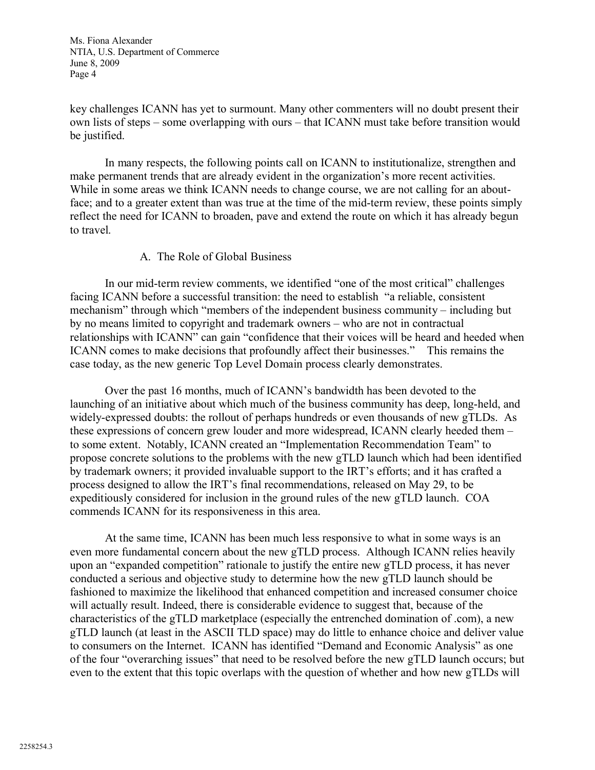key challenges ICANN has yet to surmount. Many other commenters will no doubt present their own lists of steps – some overlapping with ours – that ICANN must take before transition would be justified.

In many respects, the following points call on ICANN to institutionalize, strengthen and make permanent trends that are already evident in the organization's more recent activities. While in some areas we think ICANN needs to change course, we are not calling for an aboutface; and to a greater extent than was true at the time of the mid-term review, these points simply reflect the need for ICANN to broaden, pave and extend the route on which it has already begun to travel.

## A. The Role of Global Business

In our mid-term review comments, we identified "one of the most critical" challenges facing ICANN before a successful transition: the need to establish "a reliable, consistent mechanism" through which "members of the independent business community – including but by no means limited to copyright and trademark owners – who are not in contractual relationships with ICANN" can gain "confidence that their voices will be heard and heeded when ICANN comes to make decisions that profoundly affect their businesses." This remains the case today, as the new generic Top Level Domain process clearly demonstrates.

Over the past 16 months, much of ICANN's bandwidth has been devoted to the launching of an initiative about which much of the business community has deep, long-held, and widely-expressed doubts: the rollout of perhaps hundreds or even thousands of new gTLDs. As these expressions of concern grew louder and more widespread, ICANN clearly heeded them – to some extent. Notably, ICANN created an "Implementation Recommendation Team" to propose concrete solutions to the problems with the new gTLD launch which had been identified by trademark owners; it provided invaluable support to the IRT's efforts; and it has crafted a process designed to allow the IRT's final recommendations, released on May 29, to be expeditiously considered for inclusion in the ground rules of the new gTLD launch. COA commends ICANN for its responsiveness in this area.

At the same time, ICANN has been much less responsive to what in some ways is an even more fundamental concern about the new gTLD process. Although ICANN relies heavily upon an "expanded competition" rationale to justify the entire new gTLD process, it has never conducted a serious and objective study to determine how the new gTLD launch should be fashioned to maximize the likelihood that enhanced competition and increased consumer choice will actually result. Indeed, there is considerable evidence to suggest that, because of the characteristics of the gTLD marketplace (especially the entrenched domination of .com), a new gTLD launch (at least in the ASCII TLD space) may do little to enhance choice and deliver value to consumers on the Internet. ICANN has identified "Demand and Economic Analysis" as one of the four "overarching issues" that need to be resolved before the new gTLD launch occurs; but even to the extent that this topic overlaps with the question of whether and how new gTLDs will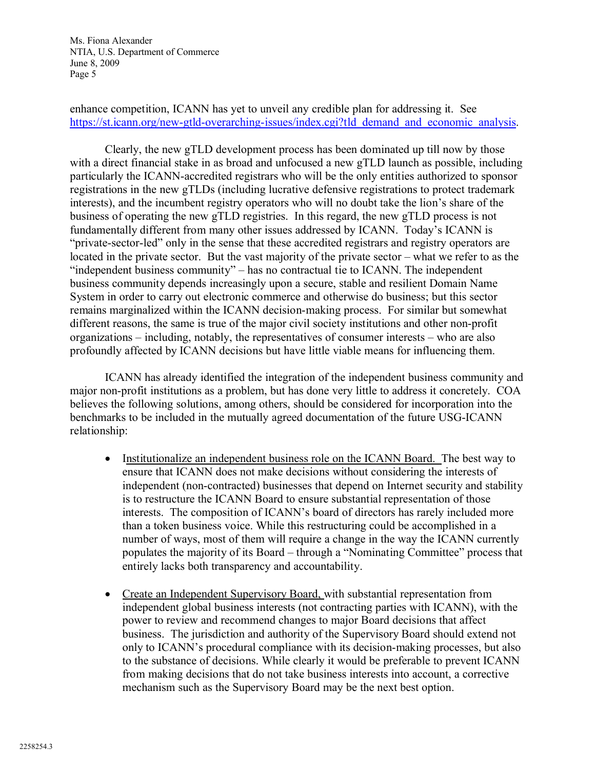enhance competition, ICANN has yet to unveil any credible plan for addressing it. See [https://st.icann.org/new-gtld-overarching-issues/index.cgi?tld\\_demand\\_and\\_economic\\_analysis](https://st.icann.org/new-gtld-overarching-issues/index.cgi?tld_demand_and_economic_analysis).

Clearly, the new gTLD development process has been dominated up till now by those with a direct financial stake in as broad and unfocused a new gTLD launch as possible, including particularly the ICANN-accredited registrars who will be the only entities authorized to sponsor registrations in the new gTLDs (including lucrative defensive registrations to protect trademark interests), and the incumbent registry operators who will no doubt take the lion's share of the business of operating the new gTLD registries. In this regard, the new gTLD process is not fundamentally different from many other issues addressed by ICANN. Today's ICANN is "private-sector-led" only in the sense that these accredited registrars and registry operators are located in the private sector. But the vast majority of the private sector – what we refer to as the "independent business community" – has no contractual tie to ICANN. The independent business community depends increasingly upon a secure, stable and resilient Domain Name System in order to carry out electronic commerce and otherwise do business; but this sector remains marginalized within the ICANN decision-making process. For similar but somewhat different reasons, the same is true of the major civil society institutions and other non-profit organizations – including, notably, the representatives of consumer interests – who are also profoundly affected by ICANN decisions but have little viable means for influencing them.

ICANN has already identified the integration of the independent business community and major non-profit institutions as a problem, but has done very little to address it concretely. COA believes the following solutions, among others, should be considered for incorporation into the benchmarks to be included in the mutually agreed documentation of the future USG-ICANN relationship:

- Institutionalize an independent business role on the ICANN Board. The best way to ensure that ICANN does not make decisions without considering the interests of independent (non-contracted) businesses that depend on Internet security and stability is to restructure the ICANN Board to ensure substantial representation of those interests. The composition of ICANN's board of directors has rarely included more than a token business voice. While this restructuring could be accomplished in a number of ways, most of them will require a change in the way the ICANN currently populates the majority of its Board – through a "Nominating Committee" process that entirely lacks both transparency and accountability.
- Create an Independent Supervisory Board, with substantial representation from independent global business interests (not contracting parties with ICANN), with the power to review and recommend changes to major Board decisions that affect business. The jurisdiction and authority of the Supervisory Board should extend not only to ICANN's procedural compliance with its decision-making processes, but also to the substance of decisions. While clearly it would be preferable to prevent ICANN from making decisions that do not take business interests into account, a corrective mechanism such as the Supervisory Board may be the next best option.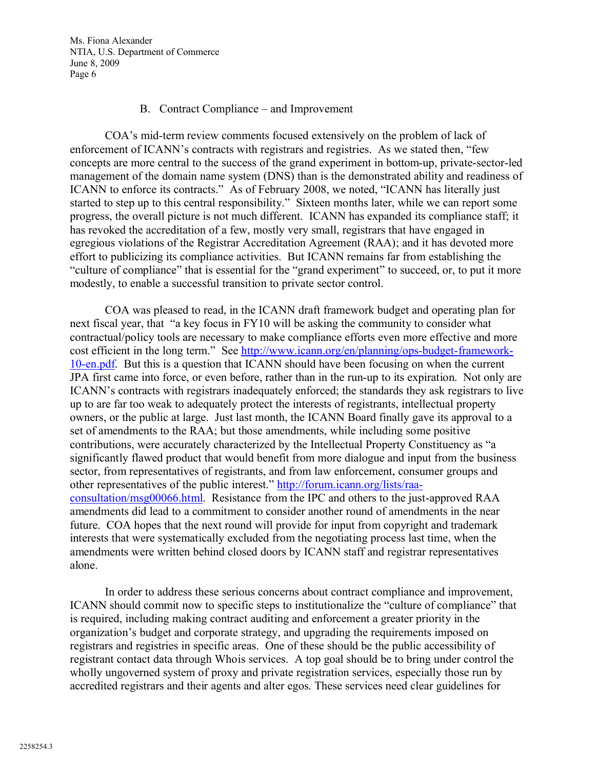### B. Contract Compliance – and Improvement

COA's mid-term review comments focused extensively on the problem of lack of enforcement of ICANN's contracts with registrars and registries. As we stated then, "few concepts are more central to the success of the grand experiment in bottom-up, private-sector-led management of the domain name system (DNS) than is the demonstrated ability and readiness of ICANN to enforce its contracts." As of February 2008, we noted, "ICANN has literally just started to step up to this central responsibility." Sixteen months later, while we can report some progress, the overall picture is not much different. ICANN has expanded its compliance staff; it has revoked the accreditation of a few, mostly very small, registrars that have engaged in egregious violations of the Registrar Accreditation Agreement (RAA); and it has devoted more effort to publicizing its compliance activities. But ICANN remains far from establishing the "culture of compliance" that is essential for the "grand experiment" to succeed, or, to put it more modestly, to enable a successful transition to private sector control.

COA was pleased to read, in the ICANN draft framework budget and operating plan for next fiscal year, that "a key focus in FY10 will be asking the community to consider what contractual/policy tools are necessary to make compliance efforts even more effective and more cost effic[ient in the long term." See](http://www.icann.org/en/planning/ops-budget-framework-10-en.pdf) [http://](http://www.icann.org/en/planning/ops-budget-framework-)<www.icann.org/en/planning/ops-budget-framework->10-en.pdf. But this is a question that ICANN should have been focusing on when the current JPA first came into force, or even before, rather than in the run-up to its expiration. Not only are ICANN's contracts with registrars inadequately enforced; the standards they ask registrars to live up to are far too weak to adequately protect the interests of registrants, intellectual property owners, or the public at large. Just last month, the ICANN Board finally gave its approval to a set of amendments to the RAA; but those amendments, while including some positive contributions, were accurately characterized by the Intellectual Property Constituency as "a significantly flawed product that would benefit from more dialogue and input from the business sector, from representatives of registrants, and from law enforcement, consumer groups and other representatives of the [public interest."](http://forum.icann.org/lists/raa-consultation/msg00066.html) [http://forum.icann.org/lists/raa](http://forum.icann.org/lists/raa-)consultation/msg00066.html. Resistance from the IPC and others to the just-approved RAA amendments did lead to a commitment to consider another round of amendments in the near future. COA hopes that the next round will provide for input from copyright and trademark interests that were systematically excluded from the negotiating process last time, when the amendments were written behind closed doors by ICANN staff and registrar representatives alone.

In order to address these serious concerns about contract compliance and improvement, ICANN should commit now to specific steps to institutionalize the "culture of compliance" that is required, including making contract auditing and enforcement a greater priority in the organization's budget and corporate strategy, and upgrading the requirements imposed on registrars and registries in specific areas. One of these should be the public accessibility of registrant contact data through Whois services. A top goal should be to bring under control the wholly ungoverned system of proxy and private registration services, especially those run by accredited registrars and their agents and alter egos. These services need clear guidelines for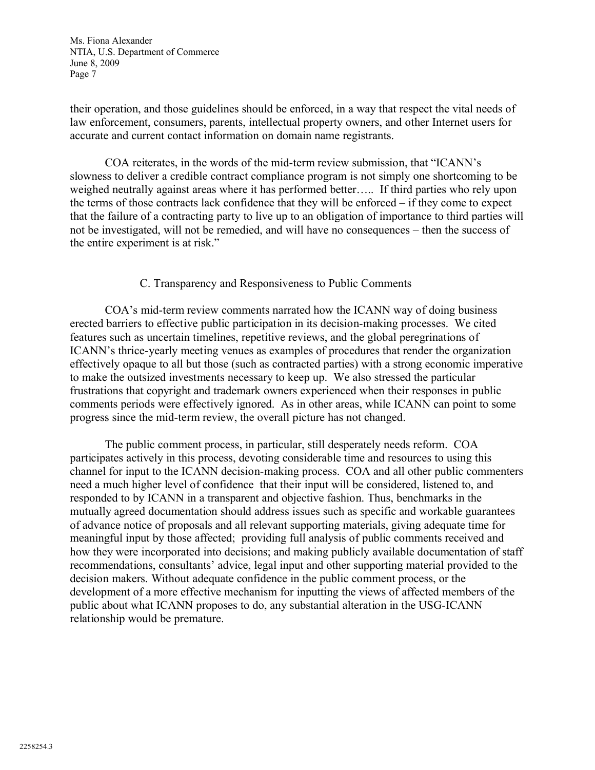their operation, and those guidelines should be enforced, in a way that respect the vital needs of law enforcement, consumers, parents, intellectual property owners, and other Internet users for accurate and current contact information on domain name registrants.

COA reiterates, in the words of the mid-term review submission, that "ICANN's slowness to deliver a credible contract compliance program is not simply one shortcoming to be weighed neutrally against areas where it has performed better….. If third parties who rely upon the terms of those contracts lack confidence that they will be enforced – if they come to expect that the failure of a contracting party to live up to an obligation of importance to third parties will not be investigated, will not be remedied, and will have no consequences – then the success of the entire experiment is at risk."

# C. Transparency and Responsiveness to Public Comments

COA's mid-term review comments narrated how the ICANN way of doing business erected barriers to effective public participation in its decision-making processes. We cited features such as uncertain timelines, repetitive reviews, and the global peregrinations of ICANN's thrice-yearly meeting venues as examples of procedures that render the organization effectively opaque to all but those (such as contracted parties) with a strong economic imperative to make the outsized investments necessary to keep up. We also stressed the particular frustrations that copyright and trademark owners experienced when their responses in public comments periods were effectively ignored. As in other areas, while ICANN can point to some progress since the mid-term review, the overall picture has not changed.

The public comment process, in particular, still desperately needs reform. COA participates actively in this process, devoting considerable time and resources to using this channel for input to the ICANN decision-making process. COA and all other public commenters need a much higher level of confidence that their input will be considered, listened to, and responded to by ICANN in a transparent and objective fashion. Thus, benchmarks in the mutually agreed documentation should address issues such as specific and workable guarantees of advance notice of proposals and all relevant supporting materials, giving adequate time for meaningful input by those affected; providing full analysis of public comments received and how they were incorporated into decisions; and making publicly available documentation of staff recommendations, consultants' advice, legal input and other supporting material provided to the decision makers. Without adequate confidence in the public comment process, or the development of a more effective mechanism for inputting the views of affected members of the public about what ICANN proposes to do, any substantial alteration in the USG-ICANN relationship would be premature.